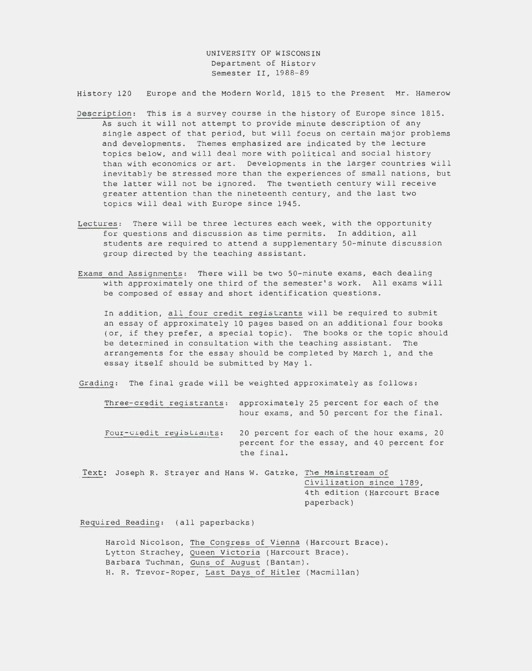UNIVERSITY OF WISCONSIN Department of History Semester II, 1988-89

History 120 Europe and the Modern World, 1815 to the Present Mr. Hamerow

- Description: This is a survey course in the history of Europe since 1815. As such it will not attempt to provide minute description of any single aspect of that period, but will focus on certain major problems and developments. Themes emphasized are indicated by the lecture topics below, and will deal more with political and social history than with economics or art. Developments in the larger countries will inevitably be stressed more than the experiences of small nations, but the latter will not be ignored. The twentieth century will receive greater attention than the nineteenth century, and the last two topics will deal with Europe since 1945.
- Lectures: There will be three lectures each week, with the opportunity for questions and discussion as time permits. In addition, all students are required to attend a supplementary 50-minute discussion group directed by the teaching assistant.
- Exams and Assignments: There will be two 50-minute exams, each dealing with approximately one third of the semester's work. All exams will be composed of essay and short identification questions.

In addition, all four credit registrants will be required to submit an essay of approximately 10 pages based on an additional four books (or, if they prefer, a special topic). The books or the topic should be determined in consultation with the teaching assistant. The arrangements for the essay should be completed by March 1, and the essay itself should be submitted by May 1.

Grading: The final grade will be weighted approximately as follows:

Three-credit registrants: approximately 25 percent for each of the hour exams, and 50 percent for the final. Four-credit registrants: 20 percent for each of the hour exams, 20 percent for the essay, and 40 percent for the final.

Text: Joseph R. Strayer and Hans W. Gatzke, The Mainstream of Civilization since 1789, 4th edition (Harcourt Brace paperback)

Required Reading: (all paperbacks)

Harold Nicolson, The Congress of Vienna (Harcourt Brace). Lytton Strachey, Queen Victoria (Harcourt Brace). Barbara Tuchman, Guns of August (Bantam). H. R. Trevor-Roper, Last Days of Hitler (Macmillan)